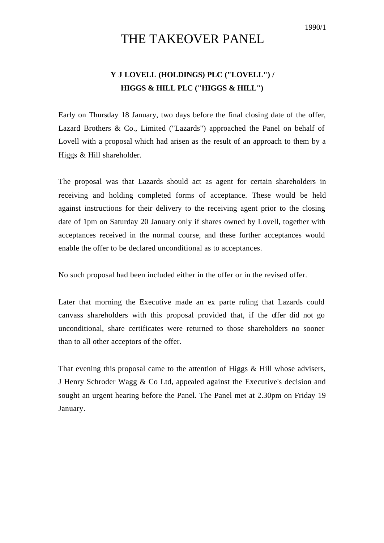1990/1

## THE TAKEOVER PANEL

## **Y J LOVELL (HOLDINGS) PLC ("LOVELL") / HIGGS & HILL PLC ("HIGGS & HILL")**

Early on Thursday 18 January, two days before the final closing date of the offer, Lazard Brothers & Co., Limited ("Lazards") approached the Panel on behalf of Lovell with a proposal which had arisen as the result of an approach to them by a Higgs & Hill shareholder.

The proposal was that Lazards should act as agent for certain shareholders in receiving and holding completed forms of acceptance. These would be held against instructions for their delivery to the receiving agent prior to the closing date of 1pm on Saturday 20 January only if shares owned by Lovell, together with acceptances received in the normal course, and these further acceptances would enable the offer to be declared unconditional as to acceptances.

No such proposal had been included either in the offer or in the revised offer.

Later that morning the Executive made an ex parte ruling that Lazards could canvass shareholders with this proposal provided that, if the offer did not go unconditional, share certificates were returned to those shareholders no sooner than to all other acceptors of the offer.

That evening this proposal came to the attention of Higgs & Hill whose advisers, J Henry Schroder Wagg & Co Ltd, appealed against the Executive's decision and sought an urgent hearing before the Panel. The Panel met at 2.30pm on Friday 19 January.